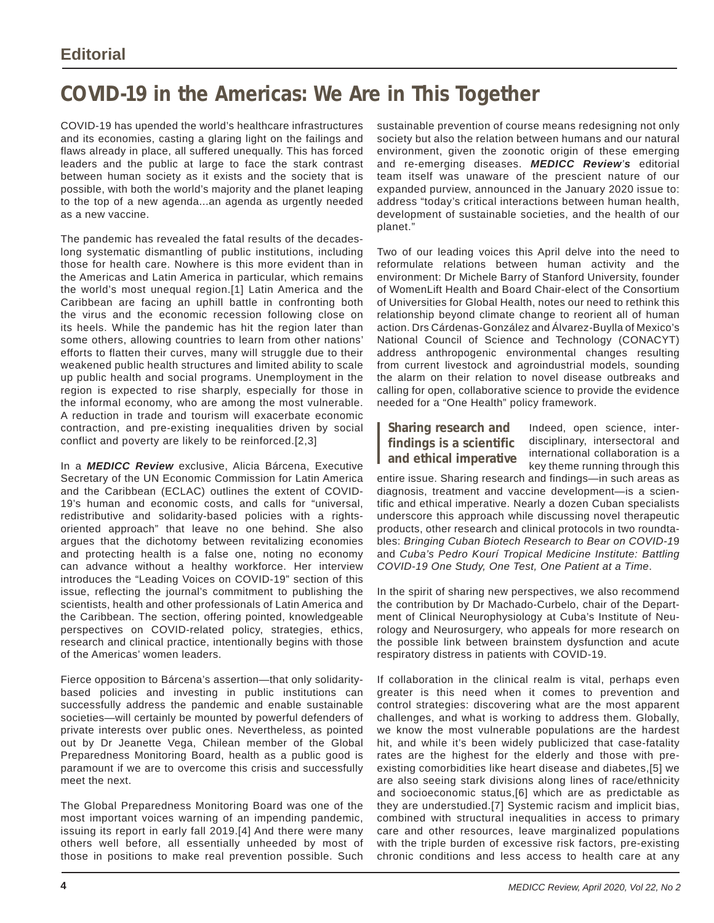## **COVID-19 in the Americas: We Are in This Together**

COVID-19 has upended the world's healthcare infrastructures and its economies, casting a glaring light on the failings and flaws already in place, all suffered unequally. This has forced leaders and the public at large to face the stark contrast between human society as it exists and the society that is possible, with both the world's majority and the planet leaping to the top of a new agenda...an agenda as urgently needed as a new vaccine.

The pandemic has revealed the fatal results of the decadeslong systematic dismantling of public institutions, including those for health care. Nowhere is this more evident than in the Americas and Latin America in particular, which remains the world's most unequal region.[1] Latin America and the Caribbean are facing an uphill battle in confronting both the virus and the economic recession following close on its heels. While the pandemic has hit the region later than some others, allowing countries to learn from other nations' efforts to flatten their curves, many will struggle due to their weakened public health structures and limited ability to scale up public health and social programs. Unemployment in the region is expected to rise sharply, especially for those in the informal economy, who are among the most vulnerable. A reduction in trade and tourism will exacerbate economic contraction, and pre-existing inequalities driven by social conflict and poverty are likely to be reinforced.[2,3]

In a *MEDICC Review* exclusive, Alicia Bárcena, Executive Secretary of the UN Economic Commission for Latin America and the Caribbean (ECLAC) outlines the extent of COVID-19's human and economic costs, and calls for "universal, redistributive and solidarity-based policies with a rightsoriented approach" that leave no one behind. She also argues that the dichotomy between revitalizing economies and protecting health is a false one, noting no economy can advance without a healthy workforce. Her interview introduces the "Leading Voices on COVID-19" section of this issue, reflecting the journal's commitment to publishing the scientists, health and other professionals of Latin America and the Caribbean. The section, offering pointed, knowledgeable perspectives on COVID-related policy, strategies, ethics, research and clinical practice, intentionally begins with those of the Americas' women leaders.

Fierce opposition to Bárcena's assertion—that only solidaritybased policies and investing in public institutions can successfully address the pandemic and enable sustainable societies—will certainly be mounted by powerful defenders of private interests over public ones. Nevertheless, as pointed out by Dr Jeanette Vega, Chilean member of the Global Preparedness Monitoring Board, health as a public good is paramount if we are to overcome this crisis and successfully meet the next.

The Global Preparedness Monitoring Board was one of the most important voices warning of an impending pandemic, issuing its report in early fall 2019.[4] And there were many others well before, all essentially unheeded by most of those in positions to make real prevention possible. Such sustainable prevention of course means redesigning not only society but also the relation between humans and our natural environment, given the zoonotic origin of these emerging and re-emerging diseases. *MEDICC Review's* editorial team itself was unaware of the prescient nature of our expanded purview, announced in the January 2020 issue to: address "today's critical interactions between human health, development of sustainable societies, and the health of our planet."

Two of our leading voices this April delve into the need to reformulate relations between human activity and the environment: Dr Michele Barry of Stanford University, founder of WomenLift Health and Board Chair-elect of the Consortium of Universities for Global Health, notes our need to rethink this relationship beyond climate change to reorient all of human action. Drs Cárdenas-González and Álvarez-Buylla of Mexico's National Council of Science and Technology (CONACYT) address anthropogenic environmental changes resulting from current livestock and agroindustrial models, sounding the alarm on their relation to novel disease outbreaks and calling for open, collaborative science to provide the evidence needed for a "One Health" policy framework.

**Sharing research and findings is a scientific and ethical imperative**

Indeed, open science, interdisciplinary, intersectoral and international collaboration is a key theme running through this

entire issue. Sharing research and findings—in such areas as diagnosis, treatment and vaccine development—is a scientific and ethical imperative. Nearly a dozen Cuban specialists underscore this approach while discussing novel therapeutic products, other research and clinical protocols in two roundtables: *Bringing Cuban Biotech Research to Bear on COVID-1*9 and *Cuba's Pedro Kourí Tropical Medicine Institute: Battling COVID-19 One Study, One Test, One Patient at a Time*.

In the spirit of sharing new perspectives, we also recommend the contribution by Dr Machado-Curbelo, chair of the Department of Clinical Neurophysiology at Cuba's Institute of Neurology and Neurosurgery, who appeals for more research on the possible link between brainstem dysfunction and acute respiratory distress in patients with COVID-19.

If collaboration in the clinical realm is vital, perhaps even greater is this need when it comes to prevention and control strategies: discovering what are the most apparent challenges, and what is working to address them. Globally, we know the most vulnerable populations are the hardest hit, and while it's been widely publicized that case-fatality rates are the highest for the elderly and those with preexisting comorbidities like heart disease and diabetes,[5] we are also seeing stark divisions along lines of race/ethnicity and socioeconomic status,[6] which are as predictable as they are understudied.[7] Systemic racism and implicit bias, combined with structural inequalities in access to primary care and other resources, leave marginalized populations with the triple burden of excessive risk factors, pre-existing chronic conditions and less access to health care at any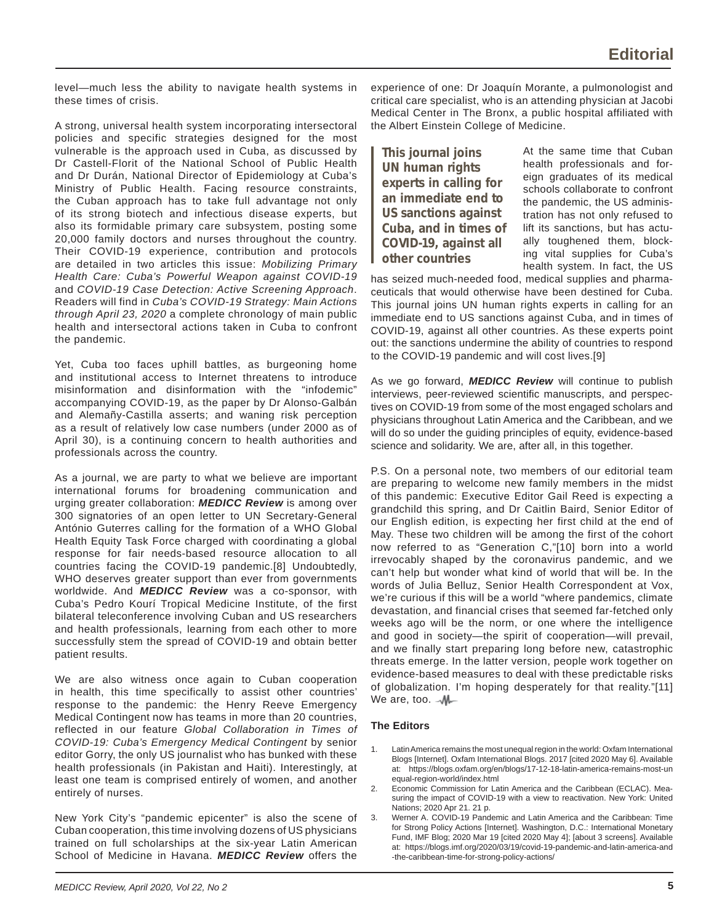level—much less the ability to navigate health systems in these times of crisis.

A strong, universal health system incorporating intersectoral policies and specific strategies designed for the most vulnerable is the approach used in Cuba, as discussed by Dr Castell-Florit of the National School of Public Health and Dr Durán, National Director of Epidemiology at Cuba's Ministry of Public Health. Facing resource constraints, the Cuban approach has to take full advantage not only of its strong biotech and infectious disease experts, but also its formidable primary care subsystem, posting some 20,000 family doctors and nurses throughout the country. Their COVID-19 experience, contribution and protocols are detailed in two articles this issue: *Mobilizing Primary Health Care: Cuba's Powerful Weapon against COVID-19* and *COVID-19 Case Detection: Active Screening Approach*. Readers will find in *Cuba's COVID-19 Strategy: Main Actions through April 23, 2020* a complete chronology of main public health and intersectoral actions taken in Cuba to confront the pandemic.

Yet, Cuba too faces uphill battles, as burgeoning home and institutional access to Internet threatens to introduce misinformation and disinformation with the "infodemic" accompanying COVID-19, as the paper by Dr Alonso-Galbán and Alemañy-Castilla asserts; and waning risk perception as a result of relatively low case numbers (under 2000 as of April 30), is a continuing concern to health authorities and professionals across the country.

As a journal, we are party to what we believe are important international forums for broadening communication and urging greater collaboration: *MEDICC Review* is among over 300 signatories of an open letter to UN Secretary-General António Guterres calling for the formation of a WHO Global Health Equity Task Force charged with coordinating a global response for fair needs-based resource allocation to all countries facing the COVID-19 pandemic.[8] Undoubtedly, WHO deserves greater support than ever from governments worldwide. And *MEDICC Review* was a co-sponsor, with Cuba's Pedro Kourí Tropical Medicine Institute, of the first bilateral teleconference involving Cuban and US researchers and health professionals, learning from each other to more successfully stem the spread of COVID-19 and obtain better patient results.

We are also witness once again to Cuban cooperation in health, this time specifically to assist other countries' response to the pandemic: the Henry Reeve Emergency Medical Contingent now has teams in more than 20 countries, reflected in our feature *Global Collaboration in Times of COVID-19: Cuba's Emergency Medical Contingent* by senior editor Gorry, the only US journalist who has bunked with these health professionals (in Pakistan and Haiti). Interestingly, at least one team is comprised entirely of women, and another entirely of nurses.

New York City's "pandemic epicenter" is also the scene of Cuban cooperation, this time involving dozens of US physicians trained on full scholarships at the six-year Latin American School of Medicine in Havana. *MEDICC Review* offers the

experience of one: Dr Joaquín Morante, a pulmonologist and critical care specialist, who is an attending physician at Jacobi Medical Center in The Bronx, a public hospital affiliated with the Albert Einstein College of Medicine.

**This journal joins UN human rights experts in calling for an immediate end to US sanctions against Cuba, and in times of COVID-19, against all other countries**

At the same time that Cuban health professionals and foreign graduates of its medical schools collaborate to confront the pandemic, the US administration has not only refused to lift its sanctions, but has actually toughened them, blocking vital supplies for Cuba's health system. In fact, the US

has seized much-needed food, medical supplies and pharmaceuticals that would otherwise have been destined for Cuba. This journal joins UN human rights experts in calling for an immediate end to US sanctions against Cuba, and in times of COVID-19, against all other countries. As these experts point out: the sanctions undermine the ability of countries to respond to the COVID-19 pandemic and will cost lives.[9]

As we go forward, *MEDICC Review* will continue to publish interviews, peer-reviewed scientific manuscripts, and perspectives on COVID-19 from some of the most engaged scholars and physicians throughout Latin America and the Caribbean, and we will do so under the guiding principles of equity, evidence-based science and solidarity. We are, after all, in this together.

P.S. On a personal note, two members of our editorial team are preparing to welcome new family members in the midst of this pandemic: Executive Editor Gail Reed is expecting a grandchild this spring, and Dr Caitlin Baird, Senior Editor of our English edition, is expecting her first child at the end of May. These two children will be among the first of the cohort now referred to as "Generation C,"[10] born into a world irrevocably shaped by the coronavirus pandemic, and we can't help but wonder what kind of world that will be. In the words of Julia Belluz, Senior Health Correspondent at Vox, we're curious if this will be a world "where pandemics, climate devastation, and financial crises that seemed far-fetched only weeks ago will be the norm, or one where the intelligence and good in society—the spirit of cooperation—will prevail, and we finally start preparing long before new, catastrophic threats emerge. In the latter version, people work together on evidence-based measures to deal with these predictable risks of globalization. I'm hoping desperately for that reality."[11] We are, too.  $\mathcal{M}$ 

## **The Editors**

- 1. Latin America remains the most unequal region in the world: Oxfam International Blogs [Internet]. Oxfam International Blogs. 2017 [cited 2020 May 6]. Available https://blogs.oxfam.org/en/blogs/17-12-18-latin-america-remains-most-un equal-region-world/index.html
- Economic Commission for Latin America and the Caribbean (ECLAC). Measuring the impact of COVID-19 with a view to reactivation. New York: United Nations; 2020 Apr 21. 21 p.
- 3. Werner A. COVID-19 Pandemic and Latin America and the Caribbean: Time for Strong Policy Actions [Internet]. Washington, D.C.: International Monetary Fund, IMF Blog; 2020 Mar 19 [cited 2020 May 4]; [about 3 screens]. Available at: https://blogs.imf.org/2020/03/19/covid-19-pandemic-and-latin-america-and -the-caribbean-time-for-strong-policy-actions/